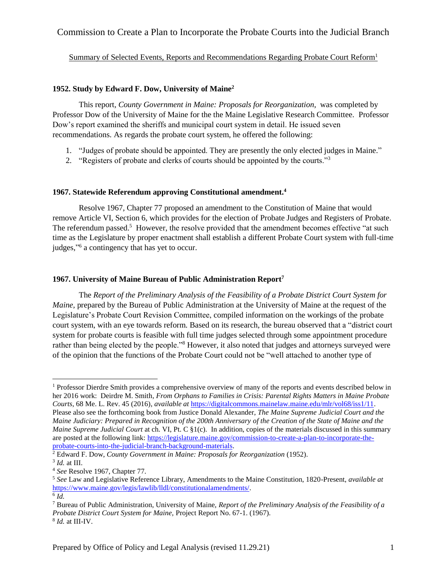# Commission to Create a Plan to Incorporate the Probate Courts into the Judicial Branch

# <span id="page-0-0"></span>Summary of Selected Events, Reports and Recommendations Regarding Probate Court Reform<sup>1</sup>

# **1952. Study by Edward F. Dow, University of Maine<sup>2</sup>**

This report, *County Government in Maine: Proposals for Reorganization*, was completed by Professor Dow of the University of Maine for the the Maine Legislative Research Committee. Professor Dow's report examined the sheriffs and municipal court system in detail. He issued seven recommendations. As regards the probate court system, he offered the following:

- 1. "Judges of probate should be appointed. They are presently the only elected judges in Maine."
- 2. "Registers of probate and clerks of courts should be appointed by the courts."<sup>3</sup>

## **1967. Statewide Referendum approving Constitutional amendment.<sup>4</sup>**

Resolve 1967, Chapter 77 proposed an amendment to the Constitution of Maine that would remove Article VI, Section 6, which provides for the election of Probate Judges and Registers of Probate. The referendum passed.<sup>5</sup> However, the resolve provided that the amendment becomes effective "at such time as the Legislature by proper enactment shall establish a different Probate Court system with full-time judges," 6 a contingency that has yet to occur.

# **1967. University of Maine Bureau of Public Administration Report<sup>7</sup>**

The *Report of the Preliminary Analysis of the Feasibility of a Probate District Court System for Maine,* prepared by the Bureau of Public Administration at the University of Maine at the request of the Legislature's Probate Court Revision Committee, compiled information on the workings of the probate court system, with an eye towards reform. Based on its research, the bureau observed that a "district court system for probate courts is feasible with full time judges selected through some appointment procedure rather than being elected by the people."<sup>8</sup> However, it also noted that judges and attorneys surveyed were of the opinion that the functions of the Probate Court could not be "well attached to another type of

l

<sup>&</sup>lt;sup>1</sup> Professor Dierdre Smith provides a comprehensive overview of many of the reports and events described below in her 2016 work: Deirdre M. Smith*, From Orphans to Families in Crisis: Parental Rights Matters in Maine Probate Courts*, 68 Me. L. Rev. 45 (2016), *available at* [https://digitalcommons.mainelaw.maine.edu/mlr/vol68/iss1/11.](https://digitalcommons.mainelaw.maine.edu/mlr/vol68/iss1/11) Please also see the forthcoming book from Justice Donald Alexander, *The Maine Supreme Judicial Court and the Maine Judiciary: Prepared in Recognition of the 200th Anniversary of the Creation of the State of Maine and the Maine Supreme Judicial Court* at ch. VI, Pt. C §1(c)*.* In addition, copies of the materials discussed in this summary are posted at the following link: [https://legislature.maine.gov/commission-to-create-a-plan-to-incorporate-the](https://legislature.maine.gov/commission-to-create-a-plan-to-incorporate-the-probate-courts-into-the-judicial-branch-background-materials)[probate-courts-into-the-judicial-branch-background-materials.](https://legislature.maine.gov/commission-to-create-a-plan-to-incorporate-the-probate-courts-into-the-judicial-branch-background-materials)

<sup>2</sup> Edward F. Dow, *County Government in Maine: Proposals for Reorganization* (1952).

<sup>3</sup> *Id.* at III.

<sup>4</sup> *See* Resolve 1967, Chapter 77.

<sup>5</sup> *See* Law and Legislative Reference Library, Amendments to the Maine Constitution, 1820-Present, *available at* [https://www.maine.gov/legis/lawlib/lldl/constitutionalamendments/.](https://www.maine.gov/legis/lawlib/lldl/constitutionalamendments/) 6 *Id.* 

<sup>7</sup> Bureau of Public Administration, University of Maine, *Report of the Preliminary Analysis of the Feasibility of a Probate District Court System for Maine,* Project Report No. 67-1. (1967). 8 *Id.* at III-IV.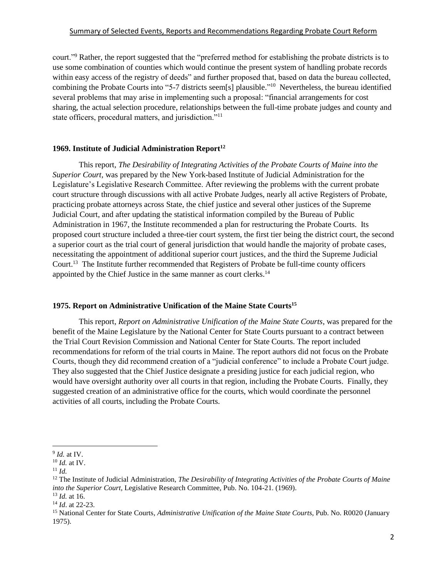court."<sup>9</sup> Rather, the report suggested that the "preferred method for establishing the probate districts is to use some combination of counties which would continue the present system of handling probate records within easy access of the registry of deeds" and further proposed that, based on data the bureau collected, combining the Probate Courts into "5-7 districts seem[s] plausible." 10 Nevertheless, the bureau identified several problems that may arise in implementing such a proposal: "financial arrangements for cost sharing, the actual selection procedure, relationships between the full-time probate judges and county and state officers, procedural matters, and jurisdiction."<sup>11</sup>

# **1969. Institute of Judicial Administration Report<sup>12</sup>**

This report, *The Desirability of Integrating Activities of the Probate Courts of Maine into the Superior Court,* was prepared by the New York-based Institute of Judicial Administration for the Legislature's Legislative Research Committee. After reviewing the problems with the current probate court structure through discussions with all active Probate Judges, nearly all active Registers of Probate, practicing probate attorneys across State, the chief justice and several other justices of the Supreme Judicial Court, and after updating the statistical information compiled by the Bureau of Public Administration in 1967, the Institute recommended a plan for restructuring the Probate Courts. Its proposed court structure included a three-tier court system, the first tier being the district court, the second a superior court as the trial court of general jurisdiction that would handle the majority of probate cases, necessitating the appointment of additional superior court justices, and the third the Supreme Judicial Court.<sup>13</sup> The Institute further recommended that Registers of Probate be full-time county officers appointed by the Chief Justice in the same manner as court clerks.<sup>14</sup>

## **1975. Report on Administrative Unification of the Maine State Courts<sup>15</sup>**

This report, *Report on Administrative Unification of the Maine State Courts*, was prepared for the benefit of the Maine Legislature by the National Center for State Courts pursuant to a contract between the Trial Court Revision Commission and National Center for State Courts. The report included recommendations for reform of the trial courts in Maine. The report authors did not focus on the Probate Courts, though they did recommend creation of a "judicial conference" to include a Probate Court judge. They also suggested that the Chief Justice designate a presiding justice for each judicial region, who would have oversight authority over all courts in that region, including the Probate Courts. Finally, they suggested creation of an administrative office for the courts, which would coordinate the personnel activities of all courts, including the Probate Courts.

<sup>9</sup> *Id.* at IV.

<sup>10</sup> *Id.* at IV.

 $11$  *Id.* 

<sup>12</sup> The Institute of Judicial Administration, *The Desirability of Integrating Activities of the Probate Courts of Maine into the Superior Court,* Legislative Research Committee, Pub. No. 104-21. (1969). <sup>13</sup> *Id.* at 16.

<sup>14</sup> *Id*. at 22-23.

<sup>15</sup> National Center for State Courts*, Administrative Unification of the Maine State Courts*, Pub. No. R0020 (January 1975).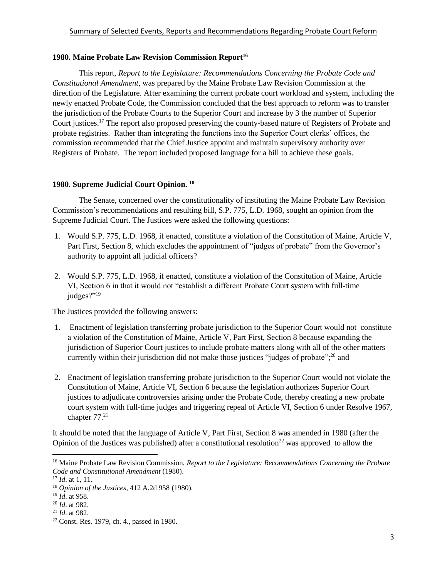# **1980. Maine Probate Law Revision Commission Report<sup>16</sup>**

This report, *Report to the Legislature: Recommendations Concerning the Probate Code and Constitutional Amendment,* was prepared by the Maine Probate Law Revision Commission at the direction of the Legislature. After examining the current probate court workload and system, including the newly enacted Probate Code, the Commission concluded that the best approach to reform was to transfer the jurisdiction of the Probate Courts to the Superior Court and increase by 3 the number of Superior Court justices. <sup>17</sup> The report also proposed preserving the county-based nature of Registers of Probate and probate registries. Rather than integrating the functions into the Superior Court clerks' offices, the commission recommended that the Chief Justice appoint and maintain supervisory authority over Registers of Probate. The report included proposed language for a bill to achieve these goals.

## **1980. Supreme Judicial Court Opinion. <sup>18</sup>**

The Senate, concerned over the constitutionality of instituting the Maine Probate Law Revision Commission's recommendations and resulting bill, S.P. 775, L.D. 1968, sought an opinion from the Supreme Judicial Court. The Justices were asked the following questions:

- 1. Would S.P. 775, L.D. 1968, if enacted, constitute a violation of the Constitution of Maine, Article V, Part First, Section 8, which excludes the appointment of "judges of probate" from the Governor's authority to appoint all judicial officers?
- 2. Would S.P. 775, L.D. 1968, if enacted, constitute a violation of the Constitution of Maine, Article VI, Section 6 in that it would not "establish a different Probate Court system with full-time judges?"<sup>19</sup>

The Justices provided the following answers:

- 1. Enactment of legislation transferring probate jurisdiction to the Superior Court would not constitute a violation of the Constitution of Maine, Article V, Part First, Section 8 because expanding the jurisdiction of Superior Court justices to include probate matters along with all of the other matters currently within their jurisdiction did not make those justices "judges of probate";<sup>20</sup> and
- 2. Enactment of legislation transferring probate jurisdiction to the Superior Court would not violate the Constitution of Maine, Article VI, Section 6 because the legislation authorizes Superior Court justices to adjudicate controversies arising under the Probate Code, thereby creating a new probate court system with full-time judges and triggering repeal of Article VI, Section 6 under Resolve 1967, chapter 77.<sup>21</sup>

It should be noted that the language of Article V, Part First, Section 8 was amended in 1980 (after the Opinion of the Justices was published) after a constitutional resolution<sup>22</sup> was approved to allow the

 $\overline{a}$ 

<sup>16</sup> Maine Probate Law Revision Commission, *Report to the Legislature: Recommendations Concerning the Probate Code and Constitutional Amendment* (1980).

<sup>17</sup> *Id*. at 1, 11.

<sup>18</sup> *Opinion of the Justices*, 412 A.2d 958 (1980).

<sup>19</sup> *Id*. at 958.

<sup>20</sup> *Id*. at 982.

<sup>21</sup> *Id*. at 982.

<sup>22</sup> Const. Res. 1979, ch. 4., passed in 1980.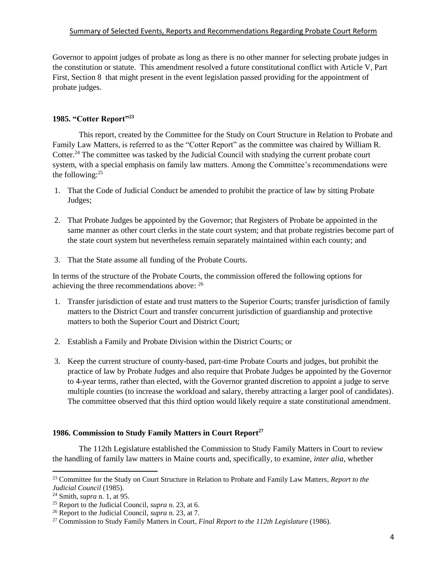Governor to appoint judges of probate as long as there is no other manner for selecting probate judges in the constitution or statute. This amendment resolved a future constitutional conflict with Article V, Part First, Section 8 that might present in the event legislation passed providing for the appointment of probate judges.

## <span id="page-3-0"></span>**1985. "Cotter Report"<sup>23</sup>**

This report, created by the Committee for the Study on Court Structure in Relation to Probate and Family Law Matters, is referred to as the "Cotter Report" as the committee was chaired by William R. Cotter.<sup>24</sup> The committee was tasked by the Judicial Council with studying the current probate court system, with a special emphasis on family law matters. Among the Committee's recommendations were the following: $25$ 

- 1. That the Code of Judicial Conduct be amended to prohibit the practice of law by sitting Probate Judges;
- 2. That Probate Judges be appointed by the Governor; that Registers of Probate be appointed in the same manner as other court clerks in the state court system; and that probate registries become part of the state court system but nevertheless remain separately maintained within each county; and
- 3. That the State assume all funding of the Probate Courts.

In terms of the structure of the Probate Courts, the commission offered the following options for achieving the three recommendations above: <sup>26</sup>

- 1. Transfer jurisdiction of estate and trust matters to the Superior Courts; transfer jurisdiction of family matters to the District Court and transfer concurrent jurisdiction of guardianship and protective matters to both the Superior Court and District Court;
- 2. Establish a Family and Probate Division within the District Courts; or
- 3. Keep the current structure of county-based, part-time Probate Courts and judges, but prohibit the practice of law by Probate Judges and also require that Probate Judges be appointed by the Governor to 4-year terms, rather than elected, with the Governor granted discretion to appoint a judge to serve multiple counties (to increase the workload and salary, thereby attracting a larger pool of candidates). The committee observed that this third option would likely require a state constitutional amendment.

# <span id="page-3-1"></span>**1986. Commission to Study Family Matters in Court Report<sup>27</sup>**

The 112th Legislature established the Commission to Study Family Matters in Court to review the handling of family law matters in Maine courts and, specifically, to examine, *inter alia*, whether

<sup>23</sup> Committee for the Study on Court Structure in Relation to Probate and Family Law Matters*, Report to the Judicial Council* (1985).

<sup>24</sup> Smith, *supra* n. [1,](#page-0-0) at 95.

<sup>25</sup> Report to the Judicial Council, *supra* n. [23,](#page-3-0) at 6.

<sup>26</sup> Report to the Judicial Council, *supra* n. [23,](#page-3-0) at 7.

<sup>27</sup> Commission to Study Family Matters in Court*, Final Report to the 112th Legislature* (1986).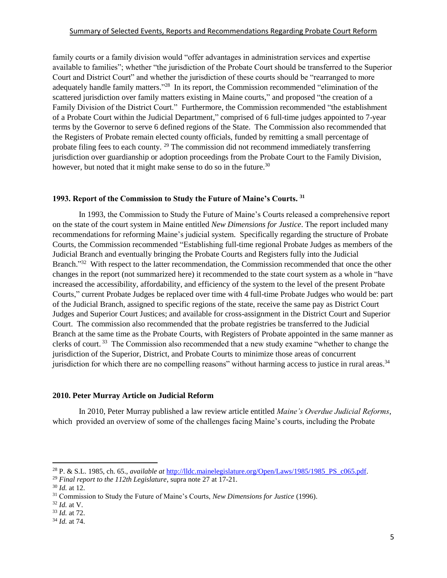family courts or a family division would "offer advantages in administration services and expertise available to families"; whether "the jurisdiction of the Probate Court should be transferred to the Superior Court and District Court" and whether the jurisdiction of these courts should be "rearranged to more adequately handle family matters."<sup>28</sup> In its report, the Commission recommended "elimination of the scattered jurisdiction over family matters existing in Maine courts," and proposed "the creation of a Family Division of the District Court." Furthermore, the Commission recommended "the establishment of a Probate Court within the Judicial Department," comprised of 6 full-time judges appointed to 7-year terms by the Governor to serve 6 defined regions of the State. The Commission also recommended that the Registers of Probate remain elected county officials, funded by remitting a small percentage of probate filing fees to each county.<sup>29</sup> The commission did not recommend immediately transferring jurisdiction over guardianship or adoption proceedings from the Probate Court to the Family Division, however, but noted that it might make sense to do so in the future.<sup>30</sup>

## **1993. Report of the Commission to Study the Future of Maine's Courts. <sup>31</sup>**

In 1993, the Commission to Study the Future of Maine's Courts released a comprehensive report on the state of the court system in Maine entitled *New Dimensions for Justice*. The report included many recommendations for reforming Maine's judicial system. Specifically regarding the structure of Probate Courts, the Commission recommended "Establishing full-time regional Probate Judges as members of the Judicial Branch and eventually bringing the Probate Courts and Registers fully into the Judicial Branch."<sup>32</sup> With respect to the latter recommendation, the Commission recommended that once the other changes in the report (not summarized here) it recommended to the state court system as a whole in "have increased the accessibility, affordability, and efficiency of the system to the level of the present Probate Courts," current Probate Judges be replaced over time with 4 full-time Probate Judges who would be: part of the Judicial Branch, assigned to specific regions of the state, receive the same pay as District Court Judges and Superior Court Justices; and available for cross-assignment in the District Court and Superior Court. The commission also recommended that the probate registries be transferred to the Judicial Branch at the same time as the Probate Courts, with Registers of Probate appointed in the same manner as clerks of court.<sup>33</sup> The Commission also recommended that a new study examine "whether to change the jurisdiction of the Superior, District, and Probate Courts to minimize those areas of concurrent jurisdiction for which there are no compelling reasons" without harming access to justice in rural areas.<sup>34</sup>

## **2010. Peter Murray Article on Judicial Reform**

In 2010, Peter Murray published a law review article entitled *Maine's Overdue Judicial Reforms*, which provided an overview of some of the challenges facing Maine's courts, including the Probate

<sup>&</sup>lt;sup>28</sup> P. & S.L. 1985, ch. 65., *available at http://lldc.mainelegislature.org/Open/Laws/1985/1985* PS c065.pdf.

<sup>29</sup> *Final report to the 112th Legislature*, supra note [27](#page-3-1) at 17-21.

<sup>30</sup> *Id.* at 12.

<sup>31</sup> Commission to Study the Future of Maine's Courts, *New Dimensions for Justice* (1996).

<sup>32</sup> *Id.* at V.

<sup>33</sup> *Id.* at 72.

<sup>34</sup> *Id.* at 74.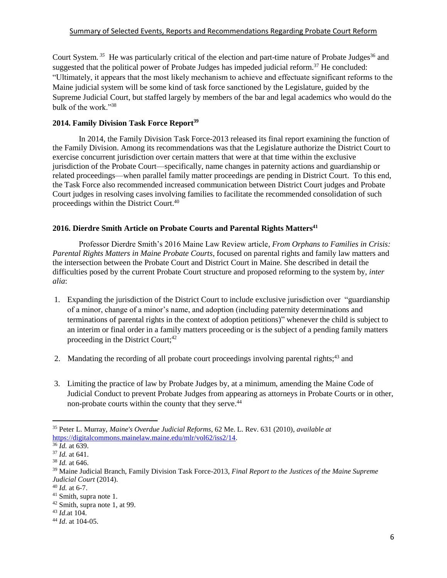Court System.<sup>35</sup> He was particularly critical of the election and part-time nature of Probate Judges<sup>36</sup> and suggested that the political power of Probate Judges has impeded judicial reform.<sup>37</sup> He concluded: "Ultimately, it appears that the most likely mechanism to achieve and effectuate significant reforms to the Maine judicial system will be some kind of task force sanctioned by the Legislature, guided by the Supreme Judicial Court, but staffed largely by members of the bar and legal academics who would do the bulk of the work."<sup>38</sup>

# **2014. Family Division Task Force Report<sup>39</sup>**

In 2014, the Family Division Task Force-2013 released its final report examining the function of the Family Division. Among its recommendations was that the Legislature authorize the District Court to exercise concurrent jurisdiction over certain matters that were at that time within the exclusive jurisdiction of the Probate Court—specifically, name changes in paternity actions and guardianship or related proceedings—when parallel family matter proceedings are pending in District Court. To this end, the Task Force also recommended increased communication between District Court judges and Probate Court judges in resolving cases involving families to facilitate the recommended consolidation of such proceedings within the District Court. 40

## **2016. Dierdre Smith Article on Probate Courts and Parental Rights Matters<sup>41</sup>**

Professor Dierdre Smith's 2016 Maine Law Review article, *From Orphans to Families in Crisis: Parental Rights Matters in Maine Probate Courts*, focused on parental rights and family law matters and the intersection between the Probate Court and District Court in Maine. She described in detail the difficulties posed by the current Probate Court structure and proposed reforming to the system by, *inter alia*:

- 1. Expanding the jurisdiction of the District Court to include exclusive jurisdiction over "guardianship of a minor, change of a minor's name, and adoption (including paternity determinations and terminations of parental rights in the context of adoption petitions)" whenever the child is subject to an interim or final order in a family matters proceeding or is the subject of a pending family matters proceeding in the District Court; 42
- 2. Mandating the recording of all probate court proceedings involving parental rights;<sup>43</sup> and
- 3. Limiting the practice of law by Probate Judges by, at a minimum, amending the Maine Code of Judicial Conduct to prevent Probate Judges from appearing as attorneys in Probate Courts or in other, non-probate courts within the county that they serve.<sup>44</sup>

<sup>35</sup> Peter L. Murray, *Maine's Overdue Judicial Reforms*, 62 Me. L. Rev. 631 (2010), *available at*  [https://digitalcommons.mainelaw.maine.edu/mlr/vol62/iss2/14.](https://digitalcommons.mainelaw.maine.edu/mlr/vol62/iss2/14)

<sup>36</sup> *Id.* at 639.

<sup>37</sup> *Id.* at 641.

<sup>38</sup> *Id.* at 646.

<sup>39</sup> Maine Judicial Branch, Family Division Task Force-2013, *Final Report to the Justices of the Maine Supreme Judicial Court* (2014).

<sup>40</sup> *Id.* at 6-7.

<sup>&</sup>lt;sup>41</sup> Smith, supra note [1.](#page-0-0)

<sup>42</sup> Smith, supra note [1,](#page-0-0) at 99.

<sup>43</sup> *Id*.at 104.

<sup>44</sup> *Id*. at 104-05.